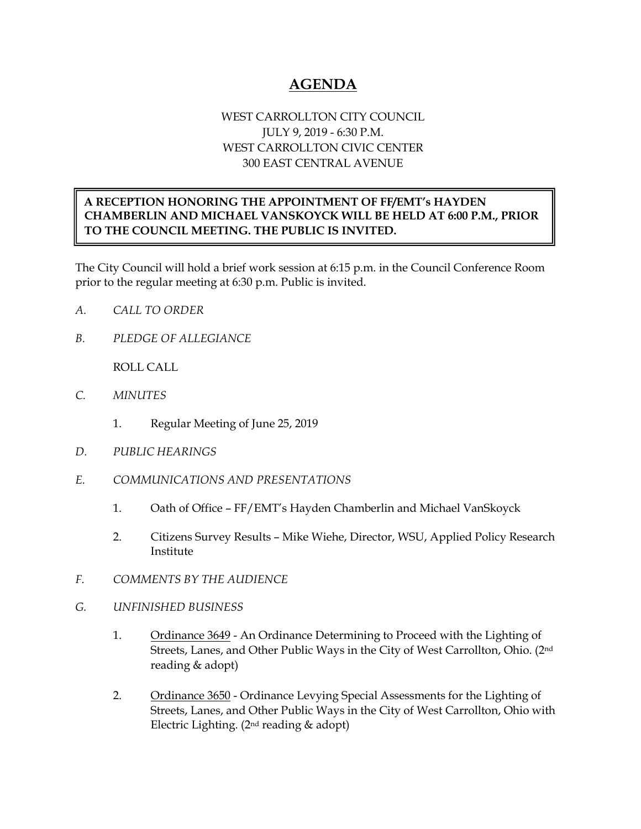## **AGENDA**

## WEST CARROLLTON CITY COUNCIL JULY 9, 2019 - 6:30 P.M. WEST CARROLLTON CIVIC CENTER 300 EAST CENTRAL AVENUE

## **A RECEPTION HONORING THE APPOINTMENT OF FF/EMT's HAYDEN CHAMBERLIN AND MICHAEL VANSKOYCK WILL BE HELD AT 6:00 P.M., PRIOR TO THE COUNCIL MEETING. THE PUBLIC IS INVITED.**

The City Council will hold a brief work session at 6:15 p.m. in the Council Conference Room prior to the regular meeting at 6:30 p.m. Public is invited.

- *A. CALL TO ORDER*
- *B. PLEDGE OF ALLEGIANCE*

ROLL CALL

- *C. MINUTES* 
	- 1. Regular Meeting of June 25, 2019
- *D. PUBLIC HEARINGS*
- *E. COMMUNICATIONS AND PRESENTATIONS* 
	- 1. Oath of Office FF/EMT's Hayden Chamberlin and Michael VanSkoyck
	- 2. Citizens Survey Results Mike Wiehe, Director, WSU, Applied Policy Research Institute
- *F. COMMENTS BY THE AUDIENCE*
- *G. UNFINISHED BUSINESS*
	- 1. Ordinance 3649 An Ordinance Determining to Proceed with the Lighting of Streets, Lanes, and Other Public Ways in the City of West Carrollton, Ohio. (2nd reading & adopt)
	- 2. Ordinance 3650 Ordinance Levying Special Assessments for the Lighting of Streets, Lanes, and Other Public Ways in the City of West Carrollton, Ohio with Electric Lighting. (2nd reading & adopt)